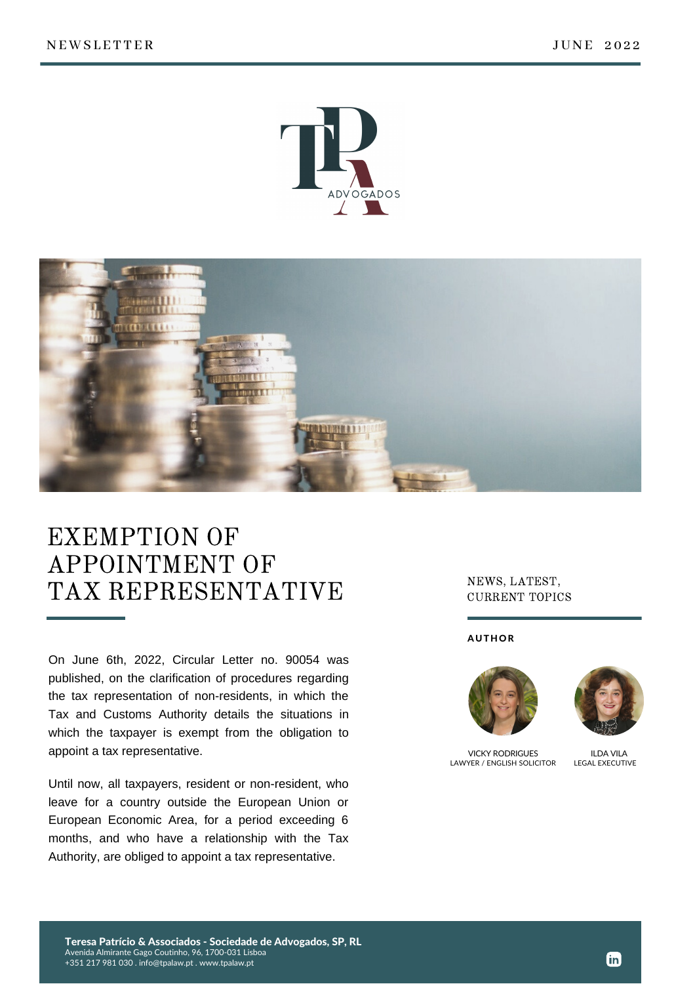



## EXEMPTION OF APPOINTMENT OF TAX REPRESENTATIVE

On June 6th, 2022, Circular Letter no. 90054 was published, on the clarification of procedures regarding the tax representation of non-residents, in which the Tax and Customs Authority details the situations in which the taxpayer is exempt from the obligation to appoint a tax representative.

Until now, all taxpayers, resident or non-resident, who leave for a country outside the European Union or European Economic Area, for a period exceeding 6 months, and who have a relationship with the Tax Authority, are obliged to appoint a tax representative.

## NEWS, LATEST, CURRENT TOPICS

## **AUTHOR**





VICKY RODRIGUES LAWYER / ENGLISH SOLICITOR

ILDA VILA LEGAL EXECUTIVE